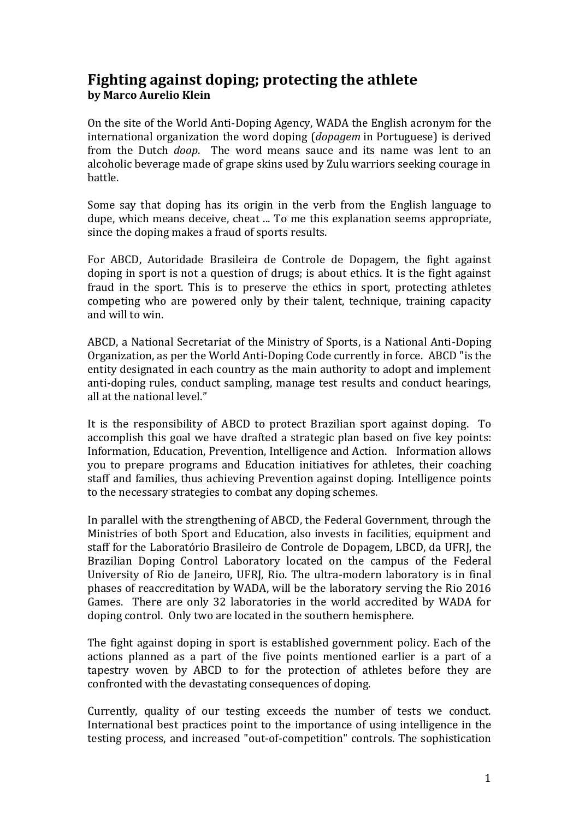## **Fighting against doping; protecting the athlete by Marco Aurelio Klein**

On the site of the World Anti-Doping Agency, WADA the English acronym for the international organization the word doping (*dopagem* in Portuguese) is derived from the Dutch *doop*. The word means sauce and its name was lent to an alcoholic beverage made of grape skins used by Zulu warriors seeking courage in battle.

Some say that doping has its origin in the verb from the English language to dupe, which means deceive, cheat ... To me this explanation seems appropriate, since the doping makes a fraud of sports results.

For ABCD, Autoridade Brasileira de Controle de Dopagem, the fight against doping in sport is not a question of drugs; is about ethics. It is the fight against fraud in the sport. This is to preserve the ethics in sport, protecting athletes competing who are powered only by their talent, technique, training capacity and will to win.

ABCD, a National Secretariat of the Ministry of Sports, is a National Anti-Doping Organization, as per the World Anti-Doping Code currently in force. ABCD "is the entity designated in each country as the main authority to adopt and implement anti-doping rules, conduct sampling, manage test results and conduct hearings, all at the national level."

It is the responsibility of ABCD to protect Brazilian sport against doping. To accomplish this goal we have drafted a strategic plan based on five key points: Information, Education, Prevention, Intelligence and Action. Information allows you to prepare programs and Education initiatives for athletes, their coaching staff and families, thus achieving Prevention against doping. Intelligence points to the necessary strategies to combat any doping schemes.

In parallel with the strengthening of ABCD, the Federal Government, through the Ministries of both Sport and Education, also invests in facilities, equipment and staff for the Laboratório Brasileiro de Controle de Dopagem, LBCD, da UFRJ, the Brazilian Doping Control Laboratory located on the campus of the Federal University of Rio de Janeiro, UFRJ, Rio. The ultra-modern laboratory is in final phases of reaccreditation by WADA, will be the laboratory serving the Rio 2016 Games. There are only 32 laboratories in the world accredited by WADA for doping control. Only two are located in the southern hemisphere.

The fight against doping in sport is established government policy. Each of the actions planned as a part of the five points mentioned earlier is a part of a tapestry woven by ABCD to for the protection of athletes before they are confronted with the devastating consequences of doping.

Currently, quality of our testing exceeds the number of tests we conduct. International best practices point to the importance of using intelligence in the testing process, and increased "out-of-competition" controls. The sophistication